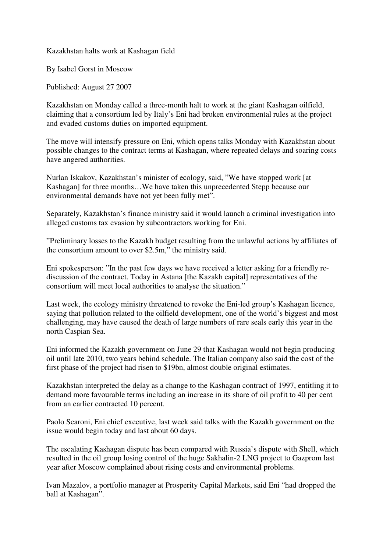Kazakhstan halts work at Kashagan field

By Isabel Gorst in Moscow

Published: August 27 2007

Kazakhstan on Monday called a three-month halt to work at the giant Kashagan oilfield, claiming that a consortium led by Italy's Eni had broken environmental rules at the project and evaded customs duties on imported equipment.

The move will intensify pressure on Eni, which opens talks Monday with Kazakhstan about possible changes to the contract terms at Kashagan, where repeated delays and soaring costs have angered authorities.

Nurlan Iskakov, Kazakhstan's minister of ecology, said, "We have stopped work [at Kashagan] for three months…We have taken this unprecedented Stepp because our environmental demands have not yet been fully met".

Separately, Kazakhstan's finance ministry said it would launch a criminal investigation into alleged customs tax evasion by subcontractors working for Eni.

"Preliminary losses to the Kazakh budget resulting from the unlawful actions by affiliates of the consortium amount to over \$2.5m," the ministry said.

Eni spokesperson: "In the past few days we have received a letter asking for a friendly rediscussion of the contract. Today in Astana [the Kazakh capital] representatives of the consortium will meet local authorities to analyse the situation."

Last week, the ecology ministry threatened to revoke the Eni-led group's Kashagan licence, saying that pollution related to the oilfield development, one of the world's biggest and most challenging, may have caused the death of large numbers of rare seals early this year in the north Caspian Sea.

Eni informed the Kazakh government on June 29 that Kashagan would not begin producing oil until late 2010, two years behind schedule. The Italian company also said the cost of the first phase of the project had risen to \$19bn, almost double original estimates.

Kazakhstan interpreted the delay as a change to the Kashagan contract of 1997, entitling it to demand more favourable terms including an increase in its share of oil profit to 40 per cent from an earlier contracted 10 percent.

Paolo Scaroni, Eni chief executive, last week said talks with the Kazakh government on the issue would begin today and last about 60 days.

The escalating Kashagan dispute has been compared with Russia's dispute with Shell, which resulted in the oil group losing control of the huge Sakhalin-2 LNG project to Gazprom last year after Moscow complained about rising costs and environmental problems.

Ivan Mazalov, a portfolio manager at Prosperity Capital Markets, said Eni "had dropped the ball at Kashagan".